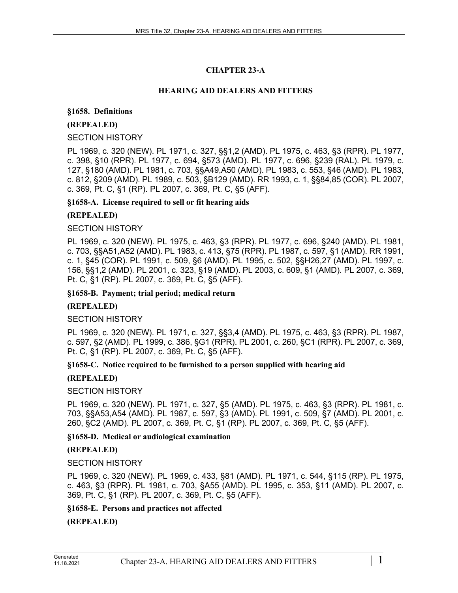# **CHAPTER 23-A**

## **HEARING AID DEALERS AND FITTERS**

## **§1658. Definitions**

## **(REPEALED)**

## SECTION HISTORY

PL 1969, c. 320 (NEW). PL 1971, c. 327, §§1,2 (AMD). PL 1975, c. 463, §3 (RPR). PL 1977, c. 398, §10 (RPR). PL 1977, c. 694, §573 (AMD). PL 1977, c. 696, §239 (RAL). PL 1979, c. 127, §180 (AMD). PL 1981, c. 703, §§A49,A50 (AMD). PL 1983, c. 553, §46 (AMD). PL 1983, c. 812, §209 (AMD). PL 1989, c. 503, §B129 (AMD). RR 1993, c. 1, §§84,85 (COR). PL 2007, c. 369, Pt. C, §1 (RP). PL 2007, c. 369, Pt. C, §5 (AFF).

## **§1658-A. License required to sell or fit hearing aids**

## **(REPEALED)**

## SECTION HISTORY

PL 1969, c. 320 (NEW). PL 1975, c. 463, §3 (RPR). PL 1977, c. 696, §240 (AMD). PL 1981, c. 703, §§A51,A52 (AMD). PL 1983, c. 413, §75 (RPR). PL 1987, c. 597, §1 (AMD). RR 1991, c. 1, §45 (COR). PL 1991, c. 509, §6 (AMD). PL 1995, c. 502, §§H26,27 (AMD). PL 1997, c. 156, §§1,2 (AMD). PL 2001, c. 323, §19 (AMD). PL 2003, c. 609, §1 (AMD). PL 2007, c. 369, Pt. C, §1 (RP). PL 2007, c. 369, Pt. C, §5 (AFF).

## **§1658-B. Payment; trial period; medical return**

# **(REPEALED)**

# SECTION HISTORY

PL 1969, c. 320 (NEW). PL 1971, c. 327, §§3,4 (AMD). PL 1975, c. 463, §3 (RPR). PL 1987, c. 597, §2 (AMD). PL 1999, c. 386, §G1 (RPR). PL 2001, c. 260, §C1 (RPR). PL 2007, c. 369, Pt. C, §1 (RP). PL 2007, c. 369, Pt. C, §5 (AFF).

## **§1658-C. Notice required to be furnished to a person supplied with hearing aid**

# **(REPEALED)**

## SECTION HISTORY

PL 1969, c. 320 (NEW). PL 1971, c. 327, §5 (AMD). PL 1975, c. 463, §3 (RPR). PL 1981, c. 703, §§A53,A54 (AMD). PL 1987, c. 597, §3 (AMD). PL 1991, c. 509, §7 (AMD). PL 2001, c. 260, §C2 (AMD). PL 2007, c. 369, Pt. C, §1 (RP). PL 2007, c. 369, Pt. C, §5 (AFF).

# **§1658-D. Medical or audiological examination**

# **(REPEALED)**

# SECTION HISTORY

PL 1969, c. 320 (NEW). PL 1969, c. 433, §81 (AMD). PL 1971, c. 544, §115 (RP). PL 1975, c. 463, §3 (RPR). PL 1981, c. 703, §A55 (AMD). PL 1995, c. 353, §11 (AMD). PL 2007, c. 369, Pt. C, §1 (RP). PL 2007, c. 369, Pt. C, §5 (AFF).

# **§1658-E. Persons and practices not affected**

**(REPEALED)**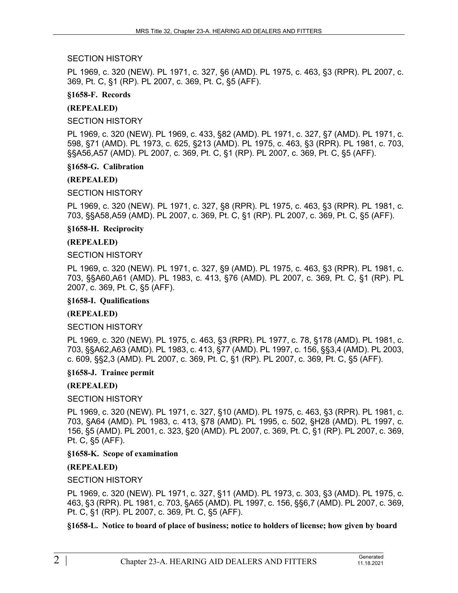### SECTION HISTORY

PL 1969, c. 320 (NEW). PL 1971, c. 327, §6 (AMD). PL 1975, c. 463, §3 (RPR). PL 2007, c. 369, Pt. C, §1 (RP). PL 2007, c. 369, Pt. C, §5 (AFF).

#### **§1658-F. Records**

#### **(REPEALED)**

SECTION HISTORY

PL 1969, c. 320 (NEW). PL 1969, c. 433, §82 (AMD). PL 1971, c. 327, §7 (AMD). PL 1971, c. 598, §71 (AMD). PL 1973, c. 625, §213 (AMD). PL 1975, c. 463, §3 (RPR). PL 1981, c. 703, §§A56,A57 (AMD). PL 2007, c. 369, Pt. C, §1 (RP). PL 2007, c. 369, Pt. C, §5 (AFF).

#### **§1658-G. Calibration**

#### **(REPEALED)**

SECTION HISTORY

PL 1969, c. 320 (NEW). PL 1971, c. 327, §8 (RPR). PL 1975, c. 463, §3 (RPR). PL 1981, c. 703, §§A58,A59 (AMD). PL 2007, c. 369, Pt. C, §1 (RP). PL 2007, c. 369, Pt. C, §5 (AFF).

**§1658-H. Reciprocity**

#### **(REPEALED)**

SECTION HISTORY

PL 1969, c. 320 (NEW). PL 1971, c. 327, §9 (AMD). PL 1975, c. 463, §3 (RPR). PL 1981, c. 703, §§A60,A61 (AMD). PL 1983, c. 413, §76 (AMD). PL 2007, c. 369, Pt. C, §1 (RP). PL 2007, c. 369, Pt. C, §5 (AFF).

#### **§1658-I. Qualifications**

#### **(REPEALED)**

#### SECTION HISTORY

PL 1969, c. 320 (NEW). PL 1975, c. 463, §3 (RPR). PL 1977, c. 78, §178 (AMD). PL 1981, c. 703, §§A62,A63 (AMD). PL 1983, c. 413, §77 (AMD). PL 1997, c. 156, §§3,4 (AMD). PL 2003, c. 609, §§2,3 (AMD). PL 2007, c. 369, Pt. C, §1 (RP). PL 2007, c. 369, Pt. C, §5 (AFF).

#### **§1658-J. Trainee permit**

## **(REPEALED)**

## SECTION HISTORY

PL 1969, c. 320 (NEW). PL 1971, c. 327, §10 (AMD). PL 1975, c. 463, §3 (RPR). PL 1981, c. 703, §A64 (AMD). PL 1983, c. 413, §78 (AMD). PL 1995, c. 502, §H28 (AMD). PL 1997, c. 156, §5 (AMD). PL 2001, c. 323, §20 (AMD). PL 2007, c. 369, Pt. C, §1 (RP). PL 2007, c. 369, Pt. C, §5 (AFF).

#### **§1658-K. Scope of examination**

## **(REPEALED)**

SECTION HISTORY

PL 1969, c. 320 (NEW). PL 1971, c. 327, §11 (AMD). PL 1973, c. 303, §3 (AMD). PL 1975, c. 463, §3 (RPR). PL 1981, c. 703, §A65 (AMD). PL 1997, c. 156, §§6,7 (AMD). PL 2007, c. 369, Pt. C, §1 (RP). PL 2007, c. 369, Pt. C, §5 (AFF).

**§1658-L. Notice to board of place of business; notice to holders of license; how given by board**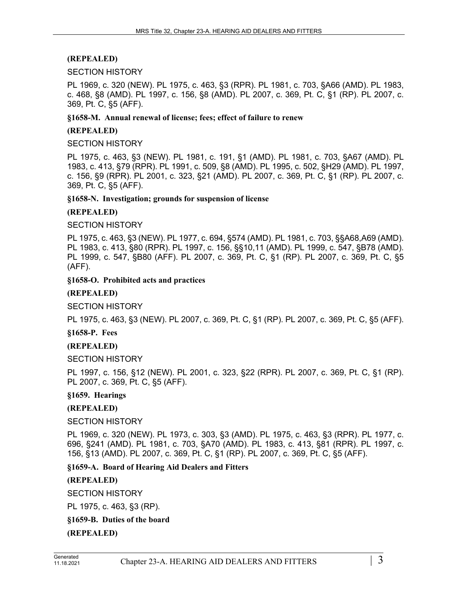## **(REPEALED)**

#### SECTION HISTORY

PL 1969, c. 320 (NEW). PL 1975, c. 463, §3 (RPR). PL 1981, c. 703, §A66 (AMD). PL 1983, c. 468, §8 (AMD). PL 1997, c. 156, §8 (AMD). PL 2007, c. 369, Pt. C, §1 (RP). PL 2007, c. 369, Pt. C, §5 (AFF).

### **§1658-M. Annual renewal of license; fees; effect of failure to renew**

#### **(REPEALED)**

SECTION HISTORY

PL 1975, c. 463, §3 (NEW). PL 1981, c. 191, §1 (AMD). PL 1981, c. 703, §A67 (AMD). PL 1983, c. 413, §79 (RPR). PL 1991, c. 509, §8 (AMD). PL 1995, c. 502, §H29 (AMD). PL 1997, c. 156, §9 (RPR). PL 2001, c. 323, §21 (AMD). PL 2007, c. 369, Pt. C, §1 (RP). PL 2007, c. 369, Pt. C, §5 (AFF).

#### **§1658-N. Investigation; grounds for suspension of license**

#### **(REPEALED)**

#### SECTION HISTORY

PL 1975, c. 463, §3 (NEW). PL 1977, c. 694, §574 (AMD). PL 1981, c. 703, §§A68,A69 (AMD). PL 1983, c. 413, §80 (RPR). PL 1997, c. 156, §§10,11 (AMD). PL 1999, c. 547, §B78 (AMD). PL 1999, c. 547, §B80 (AFF). PL 2007, c. 369, Pt. C, §1 (RP). PL 2007, c. 369, Pt. C, §5 (AFF).

#### **§1658-O. Prohibited acts and practices**

### **(REPEALED)**

SECTION HISTORY

PL 1975, c. 463, §3 (NEW). PL 2007, c. 369, Pt. C, §1 (RP). PL 2007, c. 369, Pt. C, §5 (AFF).

## **§1658-P. Fees**

## **(REPEALED)**

SECTION HISTORY

PL 1997, c. 156, §12 (NEW). PL 2001, c. 323, §22 (RPR). PL 2007, c. 369, Pt. C, §1 (RP). PL 2007, c. 369, Pt. C, §5 (AFF).

## **§1659. Hearings**

## **(REPEALED)**

## SECTION HISTORY

PL 1969, c. 320 (NEW). PL 1973, c. 303, §3 (AMD). PL 1975, c. 463, §3 (RPR). PL 1977, c. 696, §241 (AMD). PL 1981, c. 703, §A70 (AMD). PL 1983, c. 413, §81 (RPR). PL 1997, c. 156, §13 (AMD). PL 2007, c. 369, Pt. C, §1 (RP). PL 2007, c. 369, Pt. C, §5 (AFF).

## **§1659-A. Board of Hearing Aid Dealers and Fitters**

## **(REPEALED)**

SECTION HISTORY

PL 1975, c. 463, §3 (RP).

## **§1659-B. Duties of the board**

**(REPEALED)**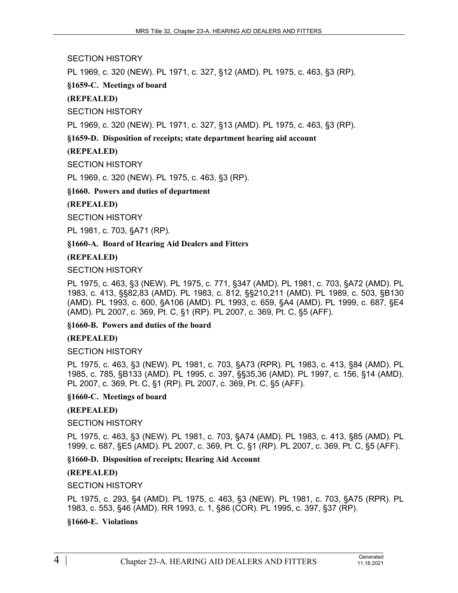SECTION HISTORY

PL 1969, c. 320 (NEW). PL 1971, c. 327, §12 (AMD). PL 1975, c. 463, §3 (RP).

**§1659-C. Meetings of board**

**(REPEALED)**

SECTION HISTORY

PL 1969, c. 320 (NEW). PL 1971, c. 327, §13 (AMD). PL 1975, c. 463, §3 (RP).

# **§1659-D. Disposition of receipts; state department hearing aid account**

# **(REPEALED)**

SECTION HISTORY

PL 1969, c. 320 (NEW). PL 1975, c. 463, §3 (RP).

**§1660. Powers and duties of department**

# **(REPEALED)**

SECTION HISTORY

PL 1981, c. 703, §A71 (RP).

## **§1660-A. Board of Hearing Aid Dealers and Fitters**

# **(REPEALED)**

SECTION HISTORY

PL 1975, c. 463, §3 (NEW). PL 1975, c. 771, §347 (AMD). PL 1981, c. 703, §A72 (AMD). PL 1983, c. 413, §§82,83 (AMD). PL 1983, c. 812, §§210,211 (AMD). PL 1989, c. 503, §B130 (AMD). PL 1993, c. 600, §A106 (AMD). PL 1993, c. 659, §A4 (AMD). PL 1999, c. 687, §E4 (AMD). PL 2007, c. 369, Pt. C, §1 (RP). PL 2007, c. 369, Pt. C, §5 (AFF).

## **§1660-B. Powers and duties of the board**

## **(REPEALED)**

SECTION HISTORY

PL 1975, c. 463, §3 (NEW). PL 1981, c. 703, §A73 (RPR). PL 1983, c. 413, §84 (AMD). PL 1985, c. 785, §B133 (AMD). PL 1995, c. 397, §§35,36 (AMD). PL 1997, c. 156, §14 (AMD). PL 2007, c. 369, Pt. C, §1 (RP). PL 2007, c. 369, Pt. C, §5 (AFF).

## **§1660-C. Meetings of board**

# **(REPEALED)**

# SECTION HISTORY

PL 1975, c. 463, §3 (NEW). PL 1981, c. 703, §A74 (AMD). PL 1983, c. 413, §85 (AMD). PL 1999, c. 687, §E5 (AMD). PL 2007, c. 369, Pt. C, §1 (RP). PL 2007, c. 369, Pt. C, §5 (AFF).

**§1660-D. Disposition of receipts; Hearing Aid Account**

# **(REPEALED)**

SECTION HISTORY

PL 1975, c. 293, §4 (AMD). PL 1975, c. 463, §3 (NEW). PL 1981, c. 703, §A75 (RPR). PL 1983, c. 553, §46 (AMD). RR 1993, c. 1, §86 (COR). PL 1995, c. 397, §37 (RP).

# **§1660-E. Violations**